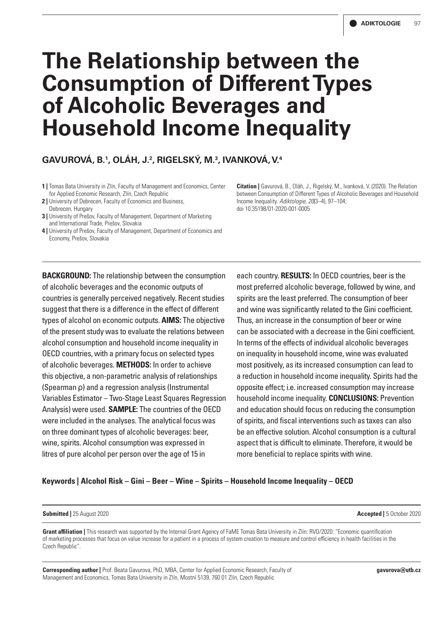# **The Relationship between the Consumption of Different Types of Alcoholic Beverages and Household Income Inequality**

# **GAVUROVÁ, B.1 , OLÁH, J.2 , RIGELSKÝ, M.3 , IVANKOVÁ, V.4**

- **1 |** Tomas Bata University in Zlín, Faculty of Management and Economics, Center for Applied Economic Research, Zlín, Czech Republic
- **2** | University of Debrecen, Faculty of Economics and Business,
- Debrecen, Hungary
- **3 | University of Prešov, Faculty of Management, Department of Marketing** and International Trade, Prešov, Slovakia
- **4 |** University of Prešov, Faculty of Management, Department of Economics and Economy, Prešov, Slovakia

**BACKGROUND:** The relationship between the consumption

countries is generally perceived negatively. Recent studies suggest that there is a difference in the effect of different types of alcohol on economic outputs. **AIMS:** The objective of the present study was to evaluate the relations between alcohol consumption and household income inequality in OECD countries, with a primary focus on selected types of alcoholic beverages. **METHODS:** In order to achieve this objective, a non-parametric analysis of relationships (Spearman ρ) and a regression analysis (Instrumental Variables Estimator – Two-Stage Least Squares Regression Analysis) were used. **SAMPLE:** The countries of the OECD were included in the analyses. The analytical focus was on three dominant types of alcoholic beverages: beer, wine, spirits. Alcohol consumption was expressed in litres of pure alcohol per person over the age of 15 in

of alcoholic beverages and the economic outputs of

each country. **RESULTS:** In OECD countries, beer is the most preferred alcoholic beverage, followed by wine, and spirits are the least preferred. The consumption of beer and wine was significantly related to the Gini coefficient. Thus, an increase in the consumption of beer or wine can be associated with a decrease in the Gini coefficient. In terms of the effects of individual alcoholic beverages on inequality in household income, wine was evaluated most positively, as its increased consumption can lead to a reduction in household income inequality. Spirits had the opposite effect; i.e. increased consumption may increase household income inequality. **CONCLUSIONS:** Prevention and education should focus on reducing the consumption of spirits, and fiscal interventions such as taxes can also be an effective solution. Alcohol consumption is a cultural aspect that is difficult to eliminate. Therefore, it would be more beneficial to replace spirits with wine.

### **Keywords | Alcohol Risk – Gini – Beer – Wine – Spirits – Household Income Inequality – OECD**

#### **Submitted |** 25 August 2020 **Accepted |** 5 October 2020

**Grant affiliation |** This research was supported by the Internal Grant Agency of FaME Tomas Bata University in Zlín: RVO/2020: "Economic quantification of marketing processes that focus on value increase for a patient in a process of system creation to measure and control efficiency in health facilities in the Czech Republic".

**Corresponding author |** Prof. Beata Gavurova, PhD, MBA, Center for Applied Economic Research, Faculty of Management and Economics, Tomas Bata University in Zlín, Mostní 5139, 760 01 Zlín, Czech Republic

**Citation |** Gavurová, B., Oláh, J., Rigelský, M., Ivanková, V. (2020). The Relation between Consumption of Different Types of Alcoholic Beverages and Household Income Inequality. *Adiktologie, 20*(3–4), 97–104; doi 10.35198/01-2020-001-0005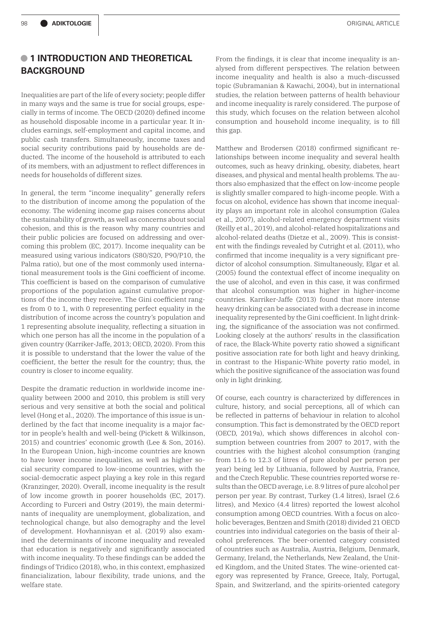# **• 1 INTRODUCTION AND THEORETICAL BACKGROUND**

Inequalities are part of the life of every society; people differ in many ways and the same is true for social groups, especially in terms of income. The OECD (2020) defined income as household disposable income in a particular year. It includes earnings, self-employment and capital income, and public cash transfers. Simultaneously, income taxes and social security contributions paid by households are deducted. The income of the household is attributed to each of its members, with an adjustment to reflect differences in needs for households of different sizes.

In general, the term "income inequality" generally refers to the distribution of income among the population of the economy. The widening income gap raises concerns about the sustainability of growth, as well as concerns about social cohesion, and this is the reason why many countries and their public policies are focused on addressing and overcoming this problem (EC, 2017). Income inequality can be measured using various indicators (S80/S20, P90/P10, the Palma ratio), but one of the most commonly used international measurement tools is the Gini coefficient of income. This coefficient is based on the comparison of cumulative proportions of the population against cumulative proportions of the income they receive. The Gini coefficient ranges from 0 to 1, with 0 representing perfect equality in the distribution of income across the country's population and 1 representing absolute inequality, reflecting a situation in which one person has all the income in the population of a given country (Karriker-Jaffe, 2013; OECD, 2020). From this it is possible to understand that the lower the value of the coefficient, the better the result for the country; thus, the country is closer to income equality.

Despite the dramatic reduction in worldwide income inequality between 2000 and 2010, this problem is still very serious and very sensitive at both the social and political level (Hong et al., 2020). The importance of this issue is underlined by the fact that income inequality is a major factor in people's health and well-being (Pickett & Wilkinson, 2015) and countries' economic growth (Lee & Son, 2016). In the European Union, high-income countries are known to have lower income inequalities, as well as higher social security compared to low-income countries, with the social-democratic aspect playing a key role in this regard (Kranzinger, 2020). Overall, income inequality is the result of low income growth in poorer households (EC, 2017). According to Furceri and Ostry (2019), the main determinants of inequality are unemployment, globalization, and technological change, but also demography and the level of development. Hovhannisyan et al. (2019) also examined the determinants of income inequality and revealed that education is negatively and significantly associated with income inequality. To these findings can be added the findings of Tridico (2018), who, in this context, emphasized financialization, labour flexibility, trade unions, and the welfare state.

From the findings, it is clear that income inequality is analysed from different perspectives. The relation between income inequality and health is also a much-discussed topic (Subramanian & Kawachi, 2004), but in international studies, the relation between patterns of health behaviour and income inequality is rarely considered. The purpose of this study, which focuses on the relation between alcohol consumption and household income inequality, is to fill this gap.

Matthew and Brodersen (2018) confirmed significant relationships between income inequality and several health outcomes, such as heavy drinking, obesity, diabetes, heart diseases, and physical and mental health problems. The authors also emphasized that the effect on low-income people is slightly smaller compared to high-income people. With a focus on alcohol, evidence has shown that income inequality plays an important role in alcohol consumption (Galea et al., 2007), alcohol-related emergency department visits (Reilly et al., 2019), and alcohol-related hospitalizations and alcohol-related deaths (Dietze et al., 2009). This is consistent with the findings revealed by Cutright et al. (2011), who confirmed that income inequality is a very significant predictor of alcohol consumption. Simultaneously, Elgar et al. (2005) found the contextual effect of income inequality on the use of alcohol, and even in this case, it was confirmed that alcohol consumption was higher in higher-income countries. Karriker-Jaffe (2013) found that more intense heavy drinking can be associated with a decrease in income inequality represented by the Gini coefficient. In light drinking, the significance of the association was not confirmed. Looking closely at the authors' results in the classification of race, the Black-White poverty ratio showed a significant positive association rate for both light and heavy drinking, in contrast to the Hispanic-White poverty ratio model, in which the positive significance of the association was found only in light drinking.

Of course, each country is characterized by differences in culture, history, and social perceptions, all of which can be reflected in patterns of behaviour in relation to alcohol consumption. This fact is demonstrated by the OECD report (OECD, 2019a), which shows differences in alcohol consumption between countries from 2007 to 2017, with the countries with the highest alcohol consumption (ranging from 11.6 to 12.3 of litres of pure alcohol per person per year) being led by Lithuania, followed by Austria, France, and the Czech Republic. These countries reported worse results than the OECD average, i.e. 8.9 litres of pure alcohol per person per year. By contrast, Turkey (1.4 litres), Israel (2.6 litres), and Mexico (4.4 litres) reported the lowest alcohol consumption among OECD countries. With a focus on alcoholic beverages, Bentzen and Smith (2018) divided 21 OECD countries into individual categories on the basis of their alcohol preferences. The beer-oriented category consisted of countries such as Australia, Austria, Belgium, Denmark, Germany, Ireland, the Netherlands, New Zealand, the United Kingdom, and the United States. The wine-oriented category was represented by France, Greece, Italy, Portugal, Spain, and Switzerland, and the spirits-oriented category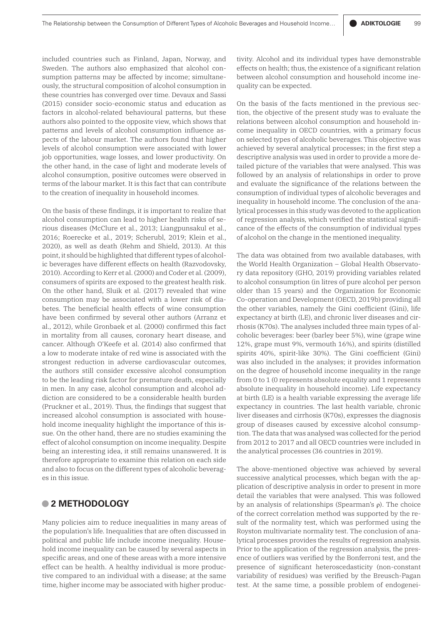included countries such as Finland, Japan, Norway, and Sweden. The authors also emphasized that alcohol consumption patterns may be affected by income; simultaneously, the structural composition of alcohol consumption in these countries has converged over time. Devaux and Sassi (2015) consider socio-economic status and education as factors in alcohol-related behavioural patterns, but these authors also pointed to the opposite view, which shows that patterns and levels of alcohol consumption influence aspects of the labour market. The authors found that higher levels of alcohol consumption were associated with lower job opportunities, wage losses, and lower productivity. On the other hand, in the case of light and moderate levels of alcohol consumption, positive outcomes were observed in terms of the labour market. It is this fact that can contribute to the creation of inequality in household incomes.

On the basis of these findings, it is important to realize that alcohol consumption can lead to higher health risks of serious diseases (McClure et al., 2013; Liangpunsakul et al., 2016; Roerecke et al., 2019; Scherubl, 2019; Klein et al., 2020), as well as death (Rehm and Shield, 2013). At this point, it should be highlighted that different types of alcoholic beverages have different effects on health (Razvodovsky, 2010). According to Kerr et al. (2000) and Coder et al. (2009), consumers of spirits are exposed to the greatest health risk. On the other hand, Sluik et al. (2017) revealed that wine consumption may be associated with a lower risk of diabetes. The beneficial health effects of wine consumption have been confirmed by several other authors (Arranz et al., 2012), while Gronbaek et al. (2000) confirmed this fact in mortality from all causes, coronary heart disease, and cancer. Although O'Keefe et al. (2014) also confirmed that a low to moderate intake of red wine is associated with the strongest reduction in adverse cardiovascular outcomes, the authors still consider excessive alcohol consumption to be the leading risk factor for premature death, especially in men. In any case, alcohol consumption and alcohol addiction are considered to be a considerable health burden (Pruckner et al., 2019). Thus, the findings that suggest that increased alcohol consumption is associated with household income inequality highlight the importance of this issue. On the other hand, there are no studies examining the effect of alcohol consumption on income inequality. Despite being an interesting idea, it still remains unanswered. It is therefore appropriate to examine this relation on each side and also to focus on the different types of alcoholic beverages in this issue.

# **• 2 METHODOLOGY**

Many policies aim to reduce inequalities in many areas of the population's life. Inequalities that are often discussed in political and public life include income inequality. Household income inequality can be caused by several aspects in specific areas, and one of these areas with a more intensive effect can be health. A healthy individual is more productive compared to an individual with a disease; at the same time, higher income may be associated with higher productivity. Alcohol and its individual types have demonstrable effects on health; thus, the existence of a significant relation between alcohol consumption and household income inequality can be expected.

On the basis of the facts mentioned in the previous section, the objective of the present study was to evaluate the relations between alcohol consumption and household income inequality in OECD countries, with a primary focus on selected types of alcoholic beverages. This objective was achieved by several analytical processes; in the first step a descriptive analysis was used in order to provide a more detailed picture of the variables that were analysed. This was followed by an analysis of relationships in order to prove and evaluate the significance of the relations between the consumption of individual types of alcoholic beverages and inequality in household income. The conclusion of the analytical processes in this study was devoted to the application of regression analysis, which verified the statistical significance of the effects of the consumption of individual types of alcohol on the change in the mentioned inequality.

The data was obtained from two available databases, with the World Health Organization – Global Health Observatory data repository (GHO, 2019) providing variables related to alcohol consumption (in litres of pure alcohol per person older than 15 years) and the Organization for Economic Co-operation and Development (OECD, 2019b) providing all the other variables, namely the Gini coefficient (Gini), life expectancy at birth (LE), and chronic liver diseases and cirrhosis (K70s). The analyses included three main types of alcoholic beverages: beer (barley beer 5%), wine (grape wine 12%, grape must 9%, vermouth 16%), and spirits (distilled spirits 40%, spirit-like 30%). The Gini coefficient (Gini) was also included in the analyses; it provides information on the degree of household income inequality in the range from 0 to 1 (0 represents absolute equality and 1 represents absolute inequality in household income). Life expectancy at birth (LE) is a health variable expressing the average life expectancy in countries. The last health variable, chronic liver diseases and cirrhosis (K70s), expresses the diagnosis group of diseases caused by excessive alcohol consumption. The data that was analysed was collected for the period from 2012 to 2017 and all OECD countries were included in the analytical processes (36 countries in 2019).

The above-mentioned objective was achieved by several successive analytical processes, which began with the application of descriptive analysis in order to present in more detail the variables that were analysed. This was followed by an analysis of relationships (Spearman's ρ). The choice of the correct correlation method was supported by the result of the normality test, which was performed using the Royston multivariate normality test. The conclusion of analytical processes provides the results of regression analysis. Prior to the application of the regression analysis, the presence of outliers was verified by the Bonferroni test, and the presence of significant heteroscedasticity (non-constant variability of residues) was verified by the Breusch-Pagan test. At the same time, a possible problem of endogenei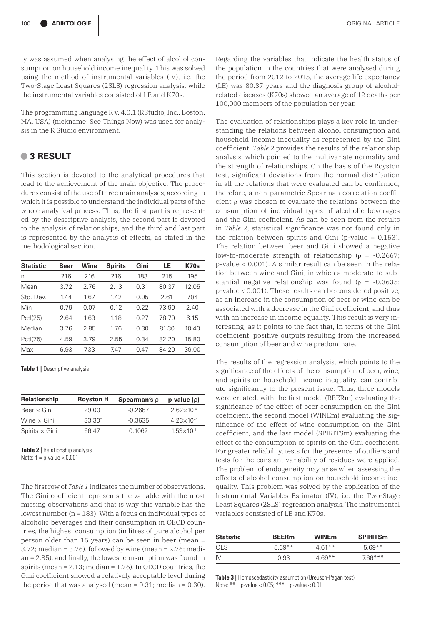ty was assumed when analysing the effect of alcohol consumption on household income inequality. This was solved using the method of instrumental variables (IV), i.e. the Two-Stage Least Squares (2SLS) regression analysis, while the instrumental variables consisted of LE and K70s.

The programming language R v. 4.0.1 (RStudio, Inc., Boston, MA, USA) (nickname: See Things Now) was used for analysis in the R Studio environment.

# **• 3 RESULT**

This section is devoted to the analytical procedures that lead to the achievement of the main objective. The procedures consist of the use of three main analyses, according to which it is possible to understand the individual parts of the whole analytical process. Thus, the first part is represented by the descriptive analysis, the second part is devoted to the analysis of relationships, and the third and last part is represented by the analysis of effects, as stated in the methodological section.

| <b>Statistic</b> | Beer | Wine | <b>Spirits</b> | Gini | LE    | <b>K70s</b> |
|------------------|------|------|----------------|------|-------|-------------|
| n                | 216  | 216  | 216            | 183  | 215   | 195         |
| Mean             | 3.72 | 2.76 | 2.13           | 0.31 | 80.37 | 12.05       |
| Std. Dev.        | 1.44 | 1.67 | 1.42           | 0.05 | 2.61  | 7.84        |
| Min              | 0.79 | 0.07 | 0.12           | 0.22 | 73.90 | 2.40        |
| Pctl(25)         | 2.64 | 1.63 | 1.18           | 0.27 | 78.70 | 6.15        |
| Median           | 3.76 | 2.85 | 1.76           | 0.30 | 81.30 | 10.40       |
| Pctl(75)         | 4.59 | 3.79 | 2.55           | 0.34 | 82.20 | 15.80       |
| Max              | 6.93 | 7.33 | 7.47           | 0.47 | 84.20 | 39.00       |

**Table 1 |** Descriptive analysis

| <b>Relationship</b>   | <b>Royston H</b>   | <b>Spearman's <math>\rho</math></b> | $p-value(p)$          |
|-----------------------|--------------------|-------------------------------------|-----------------------|
| Beer $\times$ Gini    | $29.00+$           | $-0.2667$                           | $2.62\times10^{-4}$   |
| Wine $\times$ Gini    | 33.30 <sup>†</sup> | $-0.3635$                           | $4.23 \times 10^{-7}$ |
| Spirits $\times$ Gini | 66 47 <sup>+</sup> | 0.1062                              | $1.53 \times 10^{-1}$ |

**Table 2 |** Relationship analysis Note: † = p-value < 0.001

The first row of *Table 1* indicates the number of observations. The Gini coefficient represents the variable with the most missing observations and that is why this variable has the lowest number  $(n = 183)$ . With a focus on individual types of alcoholic beverages and their consumption in OECD countries, the highest consumption (in litres of pure alcohol per person older than 15 years) can be seen in beer (mean =  $3.72$ ; median =  $3.76$ ), followed by wine (mean =  $2.76$ ; median = 2.85), and finally, the lowest consumption was found in spirits (mean  $= 2.13$ ; median  $= 1.76$ ). In OECD countries, the Gini coefficient showed a relatively acceptable level during the period that was analysed (mean  $= 0.31$ ; median  $= 0.30$ ).

Regarding the variables that indicate the health status of the population in the countries that were analysed during the period from 2012 to 2015, the average life expectancy (LE) was 80.37 years and the diagnosis group of alcoholrelated diseases (K70s) showed an average of 12 deaths per 100,000 members of the population per year.

The evaluation of relationships plays a key role in understanding the relations between alcohol consumption and household income inequality as represented by the Gini coefficient. *Table 2* provides the results of the relationship analysis, which pointed to the multivariate normality and the strength of relationships. On the basis of the Royston test, significant deviations from the normal distribution in all the relations that were evaluated can be confirmed; therefore, a non-parametric Spearman correlation coefficient ρ was chosen to evaluate the relations between the consumption of individual types of alcoholic beverages and the Gini coefficient. As can be seen from the results in *Table 2*, statistical significance was not found only in the relation between spirits and Gini (p-value  $= 0.153$ ). The relation between beer and Gini showed a negative low-to-moderate strength of relationship ( $\rho$  = -0.2667; p-value < 0.001). A similar result can be seen in the relation between wine and Gini, in which a moderate-to-substantial negative relationship was found ( $\rho = -0.3635$ ; p-value < 0.001). These results can be considered positive, as an increase in the consumption of beer or wine can be associated with a decrease in the Gini coefficient, and thus with an increase in income equality. This result is very interesting, as it points to the fact that, in terms of the Gini coefficient, positive outputs resulting from the increased consumption of beer and wine predominate.

The results of the regression analysis, which points to the significance of the effects of the consumption of beer, wine, and spirits on household income inequality, can contribute significantly to the present issue. Thus, three models were created, with the first model (BEERm) evaluating the significance of the effect of beer consumption on the Gini coefficient, the second model (WINEm) evaluating the significance of the effect of wine consumption on the Gini coefficient, and the last model (SPIRITSm) evaluating the effect of the consumption of spirits on the Gini coefficient. For greater reliability, tests for the presence of outliers and tests for the constant variability of residues were applied. The problem of endogeneity may arise when assessing the effects of alcohol consumption on household income inequality. This problem was solved by the application of the Instrumental Variables Estimator (IV), i.e. the Two-Stage Least Squares (2SLS) regression analysis. The instrumental variables consisted of LE and K70s.

| <b>Statistic</b> | <b>BEERm</b> | <b>WINEm</b> | <b>SPIRITSm</b> |
|------------------|--------------|--------------|-----------------|
| OI S             | $569**$      | $4.61**$     | $5.69**$        |
|                  | O 93         | $4.69**$     | 766***          |

**Table 3 |** Homoscedasticity assumption (Breusch-Pagan test) Note:  $** = p$ -value < 0.05;  $*** = p$ -value < 0.01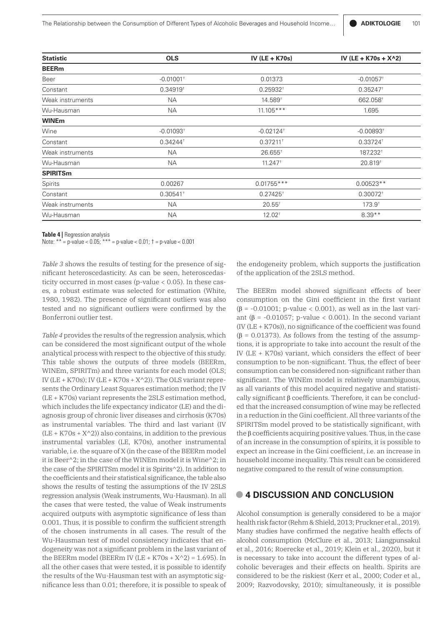| <b>Statistic</b> | <b>OLS</b>              | IV (LE + K70s)             | IV (LE + K70s + X^2)    |  |
|------------------|-------------------------|----------------------------|-------------------------|--|
| <b>BEERm</b>     |                         |                            |                         |  |
| Beer             | $-0.01001$ <sup>+</sup> | 0.01373                    | $-0.01057$ <sup>+</sup> |  |
| Constant         | $0.34919^{+}$           | $0.25932^{+}$              | $0.35247$ <sup>+</sup>  |  |
| Weak instruments | NA.                     | 14.589 <sup>†</sup>        | 662.058 <sup>+</sup>    |  |
| Wu-Hausman       | NA.                     | $11.105***$                | 1.695                   |  |
| <b>WINEm</b>     |                         |                            |                         |  |
| Wine             | $-0.01093$ <sup>+</sup> | $-0.02124$ <sup>+</sup>    | $-0.00893$ <sup>+</sup> |  |
| Constant         | $0.34244$ <sup>+</sup>  | $0.37211$ <sup>+</sup>     | 0.33724 <sup>+</sup>    |  |
| Weak instruments | NА                      | $26.655^+$                 | 187.232 <sup>+</sup>    |  |
| Wu-Hausman       | NА                      | $11.247$ <sup>+</sup>      | 20.819 <sup>t</sup>     |  |
| <b>SPIRITSm</b>  |                         |                            |                         |  |
| Spirits          | 0.00267                 | $0.01755***$               | $0.00523**$             |  |
| Constant         | $0.30541$ <sup>+</sup>  | $0.27425$ <sup>+</sup>     | $0.30072$ <sup>+</sup>  |  |
| Weak instruments | <b>NA</b>               | $20.55^{+}$<br>$173.9^{+}$ |                         |  |
| Wu-Hausman       | <b>NA</b>               | $12.02^{+}$                | $8.39**$                |  |
|                  |                         |                            |                         |  |

**Table 4 |** Regression analysis

Note:  $** = p$ -value < 0.05;  $*** = p$ -value < 0.01;  $t = p$ -value < 0.001

*Table 3* shows the results of testing for the presence of significant heteroscedasticity. As can be seen, heteroscedasticity occurred in most cases (p-value < 0.05). In these cases, a robust estimate was selected for estimation (White, 1980, 1982). The presence of significant outliers was also tested and no significant outliers were confirmed by the Bonferroni outlier test.

*Table 4* provides the results of the regression analysis, which can be considered the most significant output of the whole analytical process with respect to the objective of this study. This table shows the outputs of three models (BEERm, WINEm, SPIRITm) and three variants for each model (OLS; IV ( $LE + K70s$ ); IV ( $LE + K70s + X^2$ )). The OLS variant represents the Ordinary Least Squares estimation method; the IV (LE + K70s) variant represents the 2SLS estimation method, which includes the life expectancy indicator (LE) and the diagnosis group of chronic liver diseases and cirrhosis (K70s) as instrumental variables. The third and last variant (IV  $(LE + K70s + X^2)$ ) also contains, in addition to the previous instrumental variables (LE, K70s), another instrumental variable, i.e. the square of X (in the case of the BEERm model it is Beer^2; in the case of the WINEm model it is Wine^2; in the case of the SPIRITSm model it is Spirits^2). In addition to the coefficients and their statistical significance, the table also shows the results of testing the assumptions of the IV 2SLS regression analysis (Weak instruments, Wu-Hausman). In all the cases that were tested, the value of Weak instruments acquired outputs with asymptotic significance of less than 0.001. Thus, it is possible to confirm the sufficient strength of the chosen instruments in all cases. The result of the Wu-Hausman test of model consistency indicates that endogeneity was not a significant problem in the last variant of the BEERm model (BEERm IV  $(LE + K70s + X^2) = 1.695$ ). In all the other cases that were tested, it is possible to identify the results of the Wu-Hausman test with an asymptotic significance less than 0.01; therefore, it is possible to speak of

the endogeneity problem, which supports the justification of the application of the 2SLS method.

The BEERm model showed significant effects of beer consumption on the Gini coefficient in the first variant ( $\beta$  = -0.01001; p-value < 0.001), as well as in the last variant (β =  $-0.01057$ ; p-value < 0.001). In the second variant (IV (LE + K70s)), no significance of the coefficient was found (β = 0.01373). As follows from the testing of the assumptions, it is appropriate to take into account the result of the IV (LE + K70s) variant, which considers the effect of beer consumption to be non-significant. Thus, the effect of beer consumption can be considered non-significant rather than significant. The WINEm model is relatively unambiguous, as all variants of this model acquired negative and statistically significant β coefficients. Therefore, it can be concluded that the increased consumption of wine may be reflected in a reduction in the Gini coefficient. All three variants of the SPIRITSm model proved to be statistically significant, with the β coefficients acquiring positive values. Thus, in the case of an increase in the consumption of spirits, it is possible to expect an increase in the Gini coefficient, i.e. an increase in household income inequality. This result can be considered negative compared to the result of wine consumption.

# **• 4 DISCUSSION AND CONCLUSION**

Alcohol consumption is generally considered to be a major health risk factor (Rehm & Shield, 2013; Pruckner et al., 2019). Many studies have confirmed the negative health effects of alcohol consumption (McClure et al., 2013; Liangpunsakul et al., 2016; Roerecke et al., 2019; Klein et al., 2020), but it is necessary to take into account the different types of alcoholic beverages and their effects on health. Spirits are considered to be the riskiest (Kerr et al., 2000; Coder et al., 2009; Razvodovsky, 2010); simultaneously, it is possible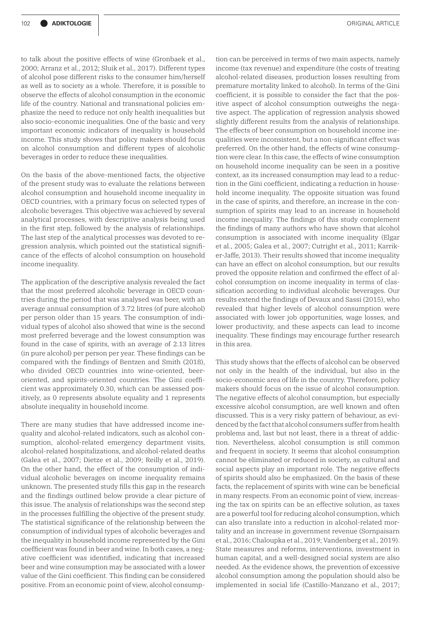to talk about the positive effects of wine (Gronbaek et al., 2000; Arranz et al., 2012; Sluik et al., 2017). Different types of alcohol pose different risks to the consumer him/herself as well as to society as a whole. Therefore, it is possible to observe the effects of alcohol consumption in the economic life of the country. National and transnational policies emphasize the need to reduce not only health inequalities but also socio-economic inequalities. One of the basic and very important economic indicators of inequality is household income. This study shows that policy makers should focus on alcohol consumption and different types of alcoholic beverages in order to reduce these inequalities.

On the basis of the above-mentioned facts, the objective of the present study was to evaluate the relations between alcohol consumption and household income inequality in OECD countries, with a primary focus on selected types of alcoholic beverages. This objective was achieved by several analytical processes, with descriptive analysis being used in the first step, followed by the analysis of relationships. The last step of the analytical processes was devoted to regression analysis, which pointed out the statistical significance of the effects of alcohol consumption on household income inequality.

The application of the descriptive analysis revealed the fact that the most preferred alcoholic beverage in OECD countries during the period that was analysed was beer, with an average annual consumption of 3.72 litres (of pure alcohol) per person older than 15 years. The consumption of individual types of alcohol also showed that wine is the second most preferred beverage and the lowest consumption was found in the case of spirits, with an average of 2.13 litres (in pure alcohol) per person per year. These findings can be compared with the findings of Bentzen and Smith (2018), who divided OECD countries into wine-oriented, beeroriented, and spirits-oriented countries. The Gini coefficient was approximately 0.30, which can be assessed positively, as 0 represents absolute equality and 1 represents absolute inequality in household income.

There are many studies that have addressed income inequality and alcohol-related indicators, such as alcohol consumption, alcohol-related emergency department visits, alcohol-related hospitalizations, and alcohol-related deaths (Galea et al., 2007; Dietze et al., 2009; Reilly et al., 2019). On the other hand, the effect of the consumption of individual alcoholic beverages on income inequality remains unknown. The presented study fills this gap in the research and the findings outlined below provide a clear picture of this issue. The analysis of relationships was the second step in the processes fulfilling the objective of the present study. The statistical significance of the relationship between the consumption of individual types of alcoholic beverages and the inequality in household income represented by the Gini coefficient was found in beer and wine. In both cases, a negative coefficient was identified, indicating that increased beer and wine consumption may be associated with a lower value of the Gini coefficient. This finding can be considered positive. From an economic point of view, alcohol consump-

tion can be perceived in terms of two main aspects, namely income (tax revenue) and expenditure (the costs of treating alcohol-related diseases, production losses resulting from premature mortality linked to alcohol). In terms of the Gini coefficient, it is possible to consider the fact that the positive aspect of alcohol consumption outweighs the negative aspect. The application of regression analysis showed slightly different results from the analysis of relationships. The effects of beer consumption on household income inequalities were inconsistent, but a non-significant effect was preferred. On the other hand, the effects of wine consumption were clear. In this case, the effects of wine consumption on household income inequality can be seen in a positive context, as its increased consumption may lead to a reduction in the Gini coefficient, indicating a reduction in household income inequality. The opposite situation was found in the case of spirits, and therefore, an increase in the consumption of spirits may lead to an increase in household income inequality. The findings of this study complement the findings of many authors who have shown that alcohol consumption is associated with income inequality (Elgar et al., 2005; Galea et al., 2007; Cutright et al., 2011; Karriker-Jaffe, 2013). Their results showed that income inequality can have an effect on alcohol consumption, but our results proved the opposite relation and confirmed the effect of alcohol consumption on income inequality in terms of classification according to individual alcoholic beverages. Our results extend the findings of Devaux and Sassi (2015), who revealed that higher levels of alcohol consumption were associated with lower job opportunities, wage losses, and lower productivity, and these aspects can lead to income inequality. These findings may encourage further research in this area.

This study shows that the effects of alcohol can be observed not only in the health of the individual, but also in the socio-economic area of life in the country. Therefore, policy makers should focus on the issue of alcohol consumption. The negative effects of alcohol consumption, but especially excessive alcohol consumption, are well known and often discussed. This is a very risky pattern of behaviour, as evidenced by the fact that alcohol consumers suffer from health problems and, last but not least, there is a threat of addiction. Nevertheless, alcohol consumption is still common and frequent in society. It seems that alcohol consumption cannot be eliminated or reduced in society, as cultural and social aspects play an important role. The negative effects of spirits should also be emphasized. On the basis of these facts, the replacement of spirits with wine can be beneficial in many respects. From an economic point of view, increasing the tax on spirits can be an effective solution, as taxes are a powerful tool for reducing alcohol consumption, which can also translate into a reduction in alcohol-related mortality and an increase in government revenue (Sornpaisarn et al., 2016; Chaloupka et al., 2019; Vandenberg et al., 2019). State measures and reforms, interventions, investment in human capital, and a well-designed social system are also needed. As the evidence shows, the prevention of excessive alcohol consumption among the population should also be implemented in social life (Castillo-Manzano et al., 2017;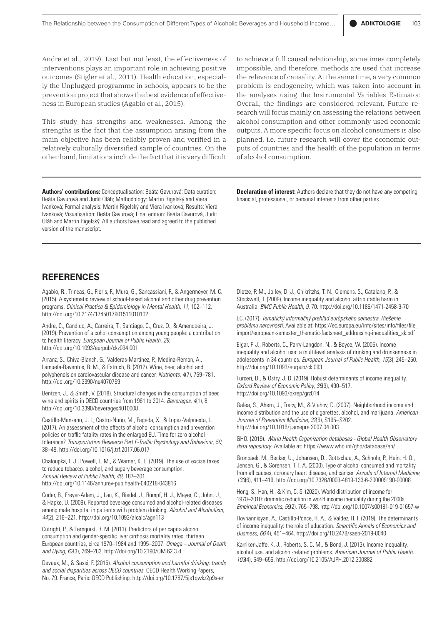Andre et al., 2019). Last but not least, the effectiveness of interventions plays an important role in achieving positive outcomes (Stigler et al., 2011). Health education, especially the Unplugged programme in schools, appears to be the prevention project that shows the best evidence of effectiveness in European studies (Agabio et al., 2015).

This study has strengths and weaknesses. Among the strengths is the fact that the assumption arising from the main objective has been reliably proven and verified in a relatively culturally diversified sample of countries. On the other hand, limitations include the fact that it is very difficult to achieve a full causal relationship, sometimes completely impossible, and therefore, methods are used that increase the relevance of causality. At the same time, a very common problem is endogeneity, which was taken into account in the analyses using the Instrumental Variables Estimator. Overall, the findings are considered relevant. Future research will focus mainly on assessing the relations between alcohol consumption and other commonly used economic outputs. A more specific focus on alcohol consumers is also planned, i.e. future research will cover the economic outputs of countries and the health of the population in terms of alcohol consumption.

**Declaration of interest:** Authors declare that they do not have any competing financial, professional, or personal interests from other parties.

**Authors' contributions:** Conceptualisation: Beáta Gavurová; Data curation: Beáta Gavurová and Judit Oláh; Methodology: Martin Rigelský and Viera Ivanková; Formal analysis: Martin Rigelský and Viera Ivanková; Results: Viera Ivanková; Visualisation: Beáta Gavurová; Final edition: Beáta Gavurová, Judit Oláh and Martin Rigelský. All authors have read and agreed to the published version of the manuscript.

# **REFERENCES**

Agabio, R., Trincas, G., Floris, F., Mura, G., Sancassiani, F., & Angermeyer, M. C. (2015). A systematic review of school-based alcohol and other drug prevention programs. *Clinical Practice & Epidemiology in Mental Health*, *11*, 102–112. http://doi.org/10.2174/1745017901511010102

Andre, C., Candido, A., Carreira, T., Santiago, C., Cruz, O., & Amendoeira, J. (2019). Prevention of alcohol consumption among young people: a contribution to health literacy. *European Journal of Public Health*, *29*. http://doi.org/10.1093/eurpub/ckz094.001

Arranz, S., Chiva-Blanch, G., Valderas-Martinez, P., Medina-Remon, A., Lamuela-Raventos, R. M., & Estruch, R. (2012). Wine, beer, alcohol and polyphenols on cardiovascular disease and cancer. *Nutrients*, *4*(7), 759–781. http://doi.org/10.3390/nu4070759

Bentzen, J., & Smith, V. (2018). Structural changes in the consumption of beer, wine and spirits in OECD countries from 1961 to 2014. *Beverages*, *4*(1), 8. http://doi.org/10.3390/beverages4010008

Castillo-Manzano, J. I., Castro-Nuno, M., Fageda, X., & Lopez-Valpuesta, L. (2017). An assessment of the effects of alcohol consumption and prevention policies on traffic fatality rates in the enlarged EU. Time for zero alcohol tolerance? *Transportation Research Part F-Traffic Psychology and Behaviour*, *50*, 38–49. http://doi.org/10.1016/j.trf.2017.06.017

Chaloupka, F. J., Powell, L. M., & Warner, K. E. (2019). The use of excise taxes to reduce tobacco, alcohol, and sugary beverage consumption. *Annual Review of Public Health*, *40*, 187–201. http://doi.org/10.1146/annurev-publhealth-040218-043816

Coder, B., Freyer-Adam, J., Lau, K., Riedel, J., Rumpf, H. J., Meyer, C., John, U., & Hapke, U. (2009). Reported beverage consumed and alcohol-related diseases among male hospital in patients with problem drinking. *Alcohol and Alcoholism*, *44*(2), 216–221. http://doi.org/10.1093/alcalc/agn113

Cutright, P., & Fernquist, R. M. (2011). Predictors of per capita alcohol consumption and gender-specific liver cirrhosis mortality rates: thirteen European countries, circa 1970–1984 and 1995–2007. *Omega – Journal of Death and Dying*, *62*(3), 269–283. http://doi.org/10.2190/OM.62.3.d

Devaux, M., & Sassi, F. (2015). *Alcohol consumption and harmful drinking: trends and social disparities across OECD countries*. OECD Health Working Papers, No. 79. France, Paris: OECD Publishing. http://doi.org/10.1787/5js1qwkz2p9s-en

Dietze, P. M., Jolley, D. J., Chikritzhs, T. N., Clemens, S., Catalano, P., & Stockwell, T. (2009). Income inequality and alcohol attributable harm in Australia. *BMC Public Health*, *9*, 70. http://doi.org/10.1186/1471-2458-9-70

EC. (2017). *Tematický informačný prehľad európskeho semestra. Riešenie problému nerovností*. Available at: https://ec.europa.eu/info/sites/info/files/file\_ import/european-semester\_thematic-factsheet\_addressing-inequalities\_sk.pdf

Elgar, F. J., Roberts, C., Parry-Langdon, N., & Boyce, W. (2005). Income inequality and alcohol use: a multilevel analysis of drinking and drunkenness in adolescents in 34 countries. *European Journal of Public Health*, *15*(3), 245–250. http://doi.org/10.1093/eurpub/cki093

Furceri, D., & Ostry, J. D. (2019). Robust determinants of income inequality. *Oxford Review of Economic Policy*, *35*(3), 490–517. http://doi.org/10.1093/oxrep/grz014

Galea, S., Ahern, J., Tracy, M., & Vlahov, D. (2007). Neighborhood income and income distribution and the use of cigarettes, alcohol, and marijuana. *American Journal of Preventive Medicine*, *32*(6), S195–S202. http://doi.org/10.1016/j.amepre.2007.04.003

GHO. (2019). *World Health Organization databases - Global Health Observatory data repository*. Available at: https://www.who.int/gho/database/en/

Gronbaek, M., Becker, U., Johansen, D., Gottschau, A., Schnohr, P., Hein, H. O., Jensen, G., & Sorensen, T. I. A. (2000). Type of alcohol consumed and mortality from all causes, coronary heart disease, and cancer. *Annals of Internal Medicine*, *133*(6), 411–419. http://doi.org/10.7326/0003-4819-133-6-200009190-00008

Hong, S., Han, H., & Kim, C. S. (2020). World distribution of income for 1970–2010: dramatic reduction in world income inequality during the 2000s. *Empirical Economics*, *59*(2), 765–798. http://doi.org/10.1007/s00181-019-01657-w

Hovhannisyan, A., Castillo-Ponce, R. A., & Valdez, R. I. (2019). The determinants of income inequality: the role of education. *Scientific Annals of Economics and Business*, *66*(4), 451–464. http://doi.org/10.2478/saeb-2019-0040

Karriker-Jaffe, K. J., Roberts, S. C. M., & Bond, J. (2013). Income inequality, alcohol use, and alcohol-related problems. *American Journal of Public Health*, *103*(4), 649–656. http://doi.org/10.2105/AJPH.2012.300882